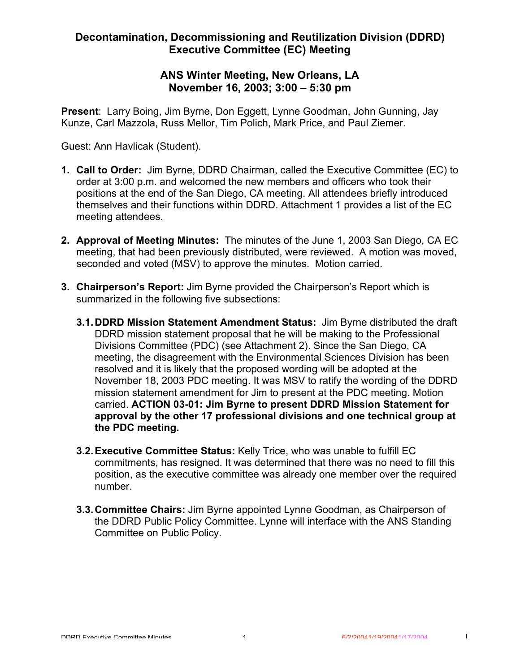### **ANS Winter Meeting, New Orleans, LA November 16, 2003; 3:00 – 5:30 pm**

**Present**: Larry Boing, Jim Byrne, Don Eggett, Lynne Goodman, John Gunning, Jay Kunze, Carl Mazzola, Russ Mellor, Tim Polich, Mark Price, and Paul Ziemer.

Guest: Ann Havlicak (Student).

- **1. Call to Order:** Jim Byrne, DDRD Chairman, called the Executive Committee (EC) to order at 3:00 p.m. and welcomed the new members and officers who took their positions at the end of the San Diego, CA meeting. All attendees briefly introduced themselves and their functions within DDRD. Attachment 1 provides a list of the EC meeting attendees.
- **2. Approval of Meeting Minutes:** The minutes of the June 1, 2003 San Diego, CA EC meeting, that had been previously distributed, were reviewed. A motion was moved, seconded and voted (MSV) to approve the minutes. Motion carried.
- **3. Chairperson's Report:** Jim Byrne provided the Chairperson's Report which is summarized in the following five subsections:
	- **3.1.DDRD Mission Statement Amendment Status:** Jim Byrne distributed the draft DDRD mission statement proposal that he will be making to the Professional Divisions Committee (PDC) (see Attachment 2). Since the San Diego, CA meeting, the disagreement with the Environmental Sciences Division has been resolved and it is likely that the proposed wording will be adopted at the November 18, 2003 PDC meeting. It was MSV to ratify the wording of the DDRD mission statement amendment for Jim to present at the PDC meeting. Motion carried. **ACTION 03-01: Jim Byrne to present DDRD Mission Statement for approval by the other 17 professional divisions and one technical group at the PDC meeting.**
	- **3.2.Executive Committee Status:** Kelly Trice, who was unable to fulfill EC commitments, has resigned. It was determined that there was no need to fill this position, as the executive committee was already one member over the required number.
	- **3.3.Committee Chairs:** Jim Byrne appointed Lynne Goodman, as Chairperson of the DDRD Public Policy Committee. Lynne will interface with the ANS Standing Committee on Public Policy.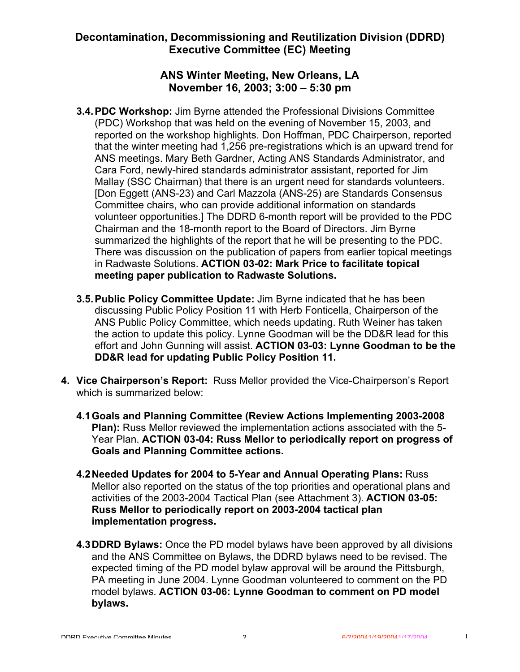### **ANS Winter Meeting, New Orleans, LA November 16, 2003; 3:00 – 5:30 pm**

- **3.4.PDC Workshop:** Jim Byrne attended the Professional Divisions Committee (PDC) Workshop that was held on the evening of November 15, 2003, and reported on the workshop highlights. Don Hoffman, PDC Chairperson, reported that the winter meeting had 1,256 pre-registrations which is an upward trend for ANS meetings. Mary Beth Gardner, Acting ANS Standards Administrator, and Cara Ford, newly-hired standards administrator assistant, reported for Jim Mallay (SSC Chairman) that there is an urgent need for standards volunteers. [Don Eggett (ANS-23) and Carl Mazzola (ANS-25) are Standards Consensus Committee chairs, who can provide additional information on standards volunteer opportunities.] The DDRD 6-month report will be provided to the PDC Chairman and the 18-month report to the Board of Directors. Jim Byrne summarized the highlights of the report that he will be presenting to the PDC. There was discussion on the publication of papers from earlier topical meetings in Radwaste Solutions. **ACTION 03-02: Mark Price to facilitate topical meeting paper publication to Radwaste Solutions.**
- **3.5.Public Policy Committee Update:** Jim Byrne indicated that he has been discussing Public Policy Position 11 with Herb Fonticella, Chairperson of the ANS Public Policy Committee, which needs updating. Ruth Weiner has taken the action to update this policy. Lynne Goodman will be the DD&R lead for this effort and John Gunning will assist. **ACTION 03-03: Lynne Goodman to be the DD&R lead for updating Public Policy Position 11.**
- **4. Vice Chairperson's Report:** Russ Mellor provided the Vice-Chairperson's Report which is summarized below:
	- **4.1Goals and Planning Committee (Review Actions Implementing 2003-2008 Plan):** Russ Mellor reviewed the implementation actions associated with the 5- Year Plan. **ACTION 03-04: Russ Mellor to periodically report on progress of Goals and Planning Committee actions.**
	- **4.2Needed Updates for 2004 to 5-Year and Annual Operating Plans:** Russ Mellor also reported on the status of the top priorities and operational plans and activities of the 2003-2004 Tactical Plan (see Attachment 3). **ACTION 03-05: Russ Mellor to periodically report on 2003-2004 tactical plan implementation progress.**
	- **4.3DDRD Bylaws:** Once the PD model bylaws have been approved by all divisions and the ANS Committee on Bylaws, the DDRD bylaws need to be revised. The expected timing of the PD model bylaw approval will be around the Pittsburgh, PA meeting in June 2004. Lynne Goodman volunteered to comment on the PD model bylaws. **ACTION 03-06: Lynne Goodman to comment on PD model bylaws.**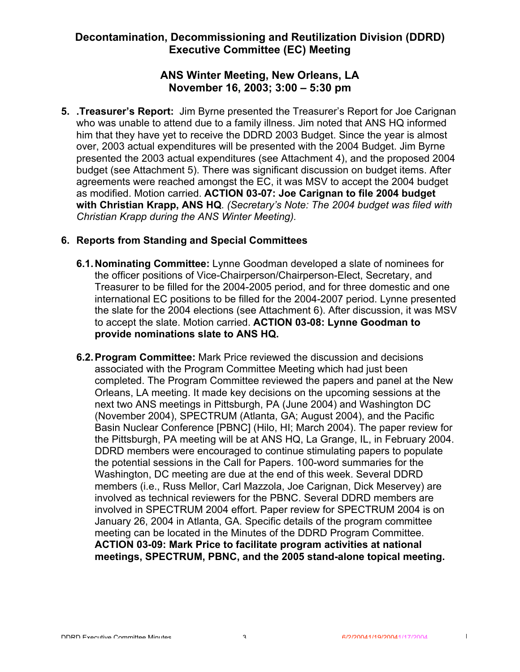### **ANS Winter Meeting, New Orleans, LA November 16, 2003; 3:00 – 5:30 pm**

**5. .Treasurer's Report:** Jim Byrne presented the Treasurer's Report for Joe Carignan who was unable to attend due to a family illness. Jim noted that ANS HQ informed him that they have yet to receive the DDRD 2003 Budget. Since the year is almost over, 2003 actual expenditures will be presented with the 2004 Budget. Jim Byrne presented the 2003 actual expenditures (see Attachment 4), and the proposed 2004 budget (see Attachment 5). There was significant discussion on budget items. After agreements were reached amongst the EC, it was MSV to accept the 2004 budget as modified. Motion carried. **ACTION 03-07: Joe Carignan to file 2004 budget with Christian Krapp, ANS HQ**. *(Secretary's Note: The 2004 budget was filed with Christian Krapp during the ANS Winter Meeting).*

#### **6. Reports from Standing and Special Committees**

- **6.1.Nominating Committee:** Lynne Goodman developed a slate of nominees for the officer positions of Vice-Chairperson/Chairperson-Elect, Secretary, and Treasurer to be filled for the 2004-2005 period, and for three domestic and one international EC positions to be filled for the 2004-2007 period. Lynne presented the slate for the 2004 elections (see Attachment 6). After discussion, it was MSV to accept the slate. Motion carried. **ACTION 03-08: Lynne Goodman to provide nominations slate to ANS HQ.**
- **6.2.Program Committee:** Mark Price reviewed the discussion and decisions associated with the Program Committee Meeting which had just been completed. The Program Committee reviewed the papers and panel at the New Orleans, LA meeting. It made key decisions on the upcoming sessions at the next two ANS meetings in Pittsburgh, PA (June 2004) and Washington DC (November 2004), SPECTRUM (Atlanta, GA; August 2004), and the Pacific Basin Nuclear Conference [PBNC] (Hilo, HI; March 2004). The paper review for the Pittsburgh, PA meeting will be at ANS HQ, La Grange, IL, in February 2004. DDRD members were encouraged to continue stimulating papers to populate the potential sessions in the Call for Papers. 100-word summaries for the Washington, DC meeting are due at the end of this week. Several DDRD members (i.e., Russ Mellor, Carl Mazzola, Joe Carignan, Dick Meservey) are involved as technical reviewers for the PBNC. Several DDRD members are involved in SPECTRUM 2004 effort. Paper review for SPECTRUM 2004 is on January 26, 2004 in Atlanta, GA. Specific details of the program committee meeting can be located in the Minutes of the DDRD Program Committee. **ACTION 03-09: Mark Price to facilitate program activities at national meetings, SPECTRUM, PBNC, and the 2005 stand-alone topical meeting.**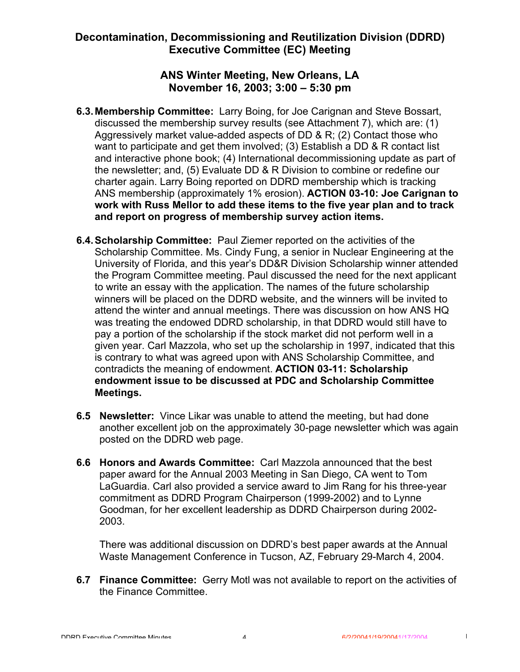### **ANS Winter Meeting, New Orleans, LA November 16, 2003; 3:00 – 5:30 pm**

- **6.3.Membership Committee:** Larry Boing, for Joe Carignan and Steve Bossart, discussed the membership survey results (see Attachment 7), which are: (1) Aggressively market value-added aspects of DD & R; (2) Contact those who want to participate and get them involved; (3) Establish a DD & R contact list and interactive phone book; (4) International decommissioning update as part of the newsletter; and, (5) Evaluate DD & R Division to combine or redefine our charter again. Larry Boing reported on DDRD membership which is tracking ANS membership (approximately 1% erosion). **ACTION 03-10: Joe Carignan to work with Russ Mellor to add these items to the five year plan and to track and report on progress of membership survey action items.**
- **6.4.Scholarship Committee:** Paul Ziemer reported on the activities of the Scholarship Committee. Ms. Cindy Fung, a senior in Nuclear Engineering at the University of Florida, and this year's DD&R Division Scholarship winner attended the Program Committee meeting. Paul discussed the need for the next applicant to write an essay with the application. The names of the future scholarship winners will be placed on the DDRD website, and the winners will be invited to attend the winter and annual meetings. There was discussion on how ANS HQ was treating the endowed DDRD scholarship, in that DDRD would still have to pay a portion of the scholarship if the stock market did not perform well in a given year. Carl Mazzola, who set up the scholarship in 1997, indicated that this is contrary to what was agreed upon with ANS Scholarship Committee, and contradicts the meaning of endowment. **ACTION 03-11: Scholarship endowment issue to be discussed at PDC and Scholarship Committee Meetings.**
- **6.5 Newsletter:** Vince Likar was unable to attend the meeting, but had done another excellent job on the approximately 30-page newsletter which was again posted on the DDRD web page.
- **6.6 Honors and Awards Committee:** Carl Mazzola announced that the best paper award for the Annual 2003 Meeting in San Diego, CA went to Tom LaGuardia. Carl also provided a service award to Jim Rang for his three-year commitment as DDRD Program Chairperson (1999-2002) and to Lynne Goodman, for her excellent leadership as DDRD Chairperson during 2002- 2003.

There was additional discussion on DDRD's best paper awards at the Annual Waste Management Conference in Tucson, AZ, February 29-March 4, 2004.

**6.7 Finance Committee:** Gerry Motl was not available to report on the activities of the Finance Committee.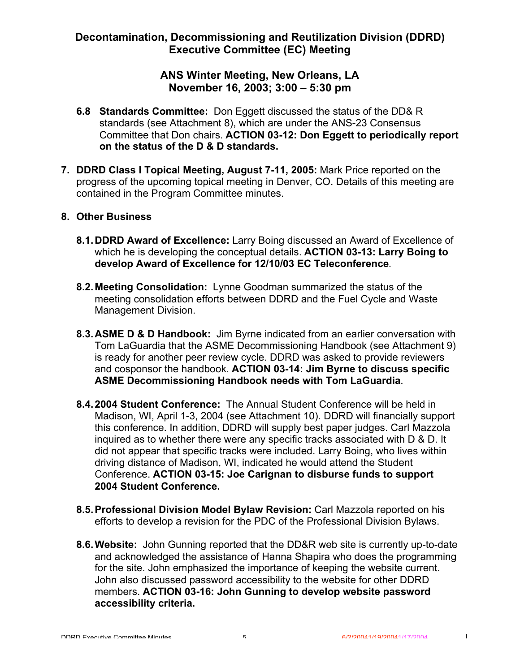### **ANS Winter Meeting, New Orleans, LA November 16, 2003; 3:00 – 5:30 pm**

- **6.8 Standards Committee:** Don Eggett discussed the status of the DD& R standards (see Attachment 8), which are under the ANS-23 Consensus Committee that Don chairs. **ACTION 03-12: Don Eggett to periodically report on the status of the D & D standards.**
- **7. DDRD Class I Topical Meeting, August 7-11, 2005:** Mark Price reported on the progress of the upcoming topical meeting in Denver, CO. Details of this meeting are contained in the Program Committee minutes.

#### **8. Other Business**

- **8.1.DDRD Award of Excellence:** Larry Boing discussed an Award of Excellence of which he is developing the conceptual details. **ACTION 03-13: Larry Boing to develop Award of Excellence for 12/10/03 EC Teleconference**.
- **8.2.Meeting Consolidation:** Lynne Goodman summarized the status of the meeting consolidation efforts between DDRD and the Fuel Cycle and Waste Management Division.
- **8.3.ASME D & D Handbook:** Jim Byrne indicated from an earlier conversation with Tom LaGuardia that the ASME Decommissioning Handbook (see Attachment 9) is ready for another peer review cycle. DDRD was asked to provide reviewers and cosponsor the handbook. **ACTION 03-14: Jim Byrne to discuss specific ASME Decommissioning Handbook needs with Tom LaGuardia**.
- **8.4.2004 Student Conference:** The Annual Student Conference will be held in Madison, WI, April 1-3, 2004 (see Attachment 10). DDRD will financially support this conference. In addition, DDRD will supply best paper judges. Carl Mazzola inquired as to whether there were any specific tracks associated with D & D. It did not appear that specific tracks were included. Larry Boing, who lives within driving distance of Madison, WI, indicated he would attend the Student Conference. **ACTION 03-15: Joe Carignan to disburse funds to support 2004 Student Conference.**
- **8.5.Professional Division Model Bylaw Revision:** Carl Mazzola reported on his efforts to develop a revision for the PDC of the Professional Division Bylaws.
- **8.6.Website:** John Gunning reported that the DD&R web site is currently up-to-date and acknowledged the assistance of Hanna Shapira who does the programming for the site. John emphasized the importance of keeping the website current. John also discussed password accessibility to the website for other DDRD members. **ACTION 03-16: John Gunning to develop website password accessibility criteria.**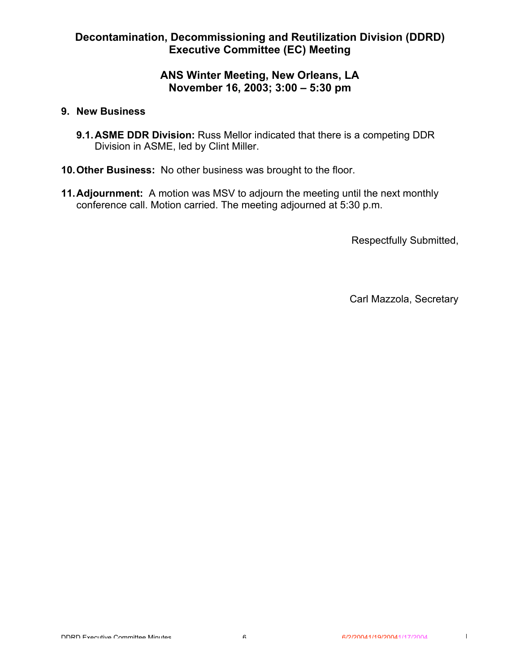### **ANS Winter Meeting, New Orleans, LA November 16, 2003; 3:00 – 5:30 pm**

#### **9. New Business**

- **9.1.ASME DDR Division:** Russ Mellor indicated that there is a competing DDR Division in ASME, led by Clint Miller.
- **10.Other Business:** No other business was brought to the floor.
- **11.Adjournment:** A motion was MSV to adjourn the meeting until the next monthly conference call. Motion carried. The meeting adjourned at 5:30 p.m.

Respectfully Submitted,

Carl Mazzola, Secretary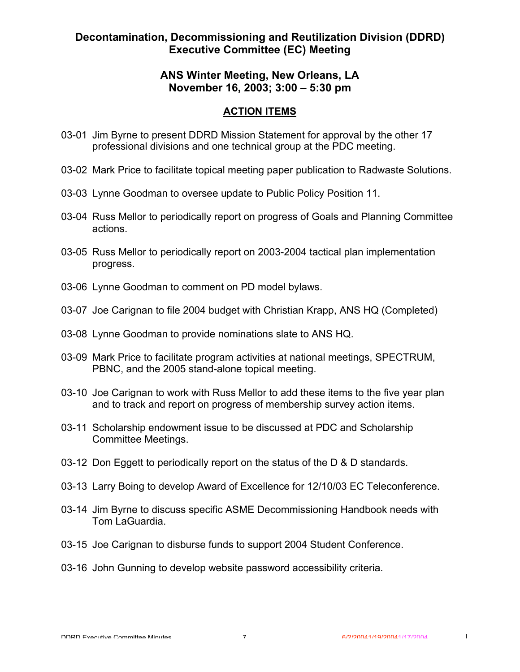### **ANS Winter Meeting, New Orleans, LA November 16, 2003; 3:00 – 5:30 pm**

#### **ACTION ITEMS**

- 03-01 Jim Byrne to present DDRD Mission Statement for approval by the other 17 professional divisions and one technical group at the PDC meeting.
- 03-02 Mark Price to facilitate topical meeting paper publication to Radwaste Solutions.
- 03-03 Lynne Goodman to oversee update to Public Policy Position 11.
- 03-04 Russ Mellor to periodically report on progress of Goals and Planning Committee actions.
- 03-05 Russ Mellor to periodically report on 2003-2004 tactical plan implementation progress.
- 03-06 Lynne Goodman to comment on PD model bylaws.
- 03-07 Joe Carignan to file 2004 budget with Christian Krapp, ANS HQ (Completed)
- 03-08 Lynne Goodman to provide nominations slate to ANS HQ.
- 03-09 Mark Price to facilitate program activities at national meetings, SPECTRUM, PBNC, and the 2005 stand-alone topical meeting.
- 03-10 Joe Carignan to work with Russ Mellor to add these items to the five year plan and to track and report on progress of membership survey action items.
- 03-11 Scholarship endowment issue to be discussed at PDC and Scholarship Committee Meetings.
- 03-12 Don Eggett to periodically report on the status of the D & D standards.
- 03-13 Larry Boing to develop Award of Excellence for 12/10/03 EC Teleconference.
- 03-14 Jim Byrne to discuss specific ASME Decommissioning Handbook needs with Tom LaGuardia.
- 03-15 Joe Carignan to disburse funds to support 2004 Student Conference.
- 03-16 John Gunning to develop website password accessibility criteria.